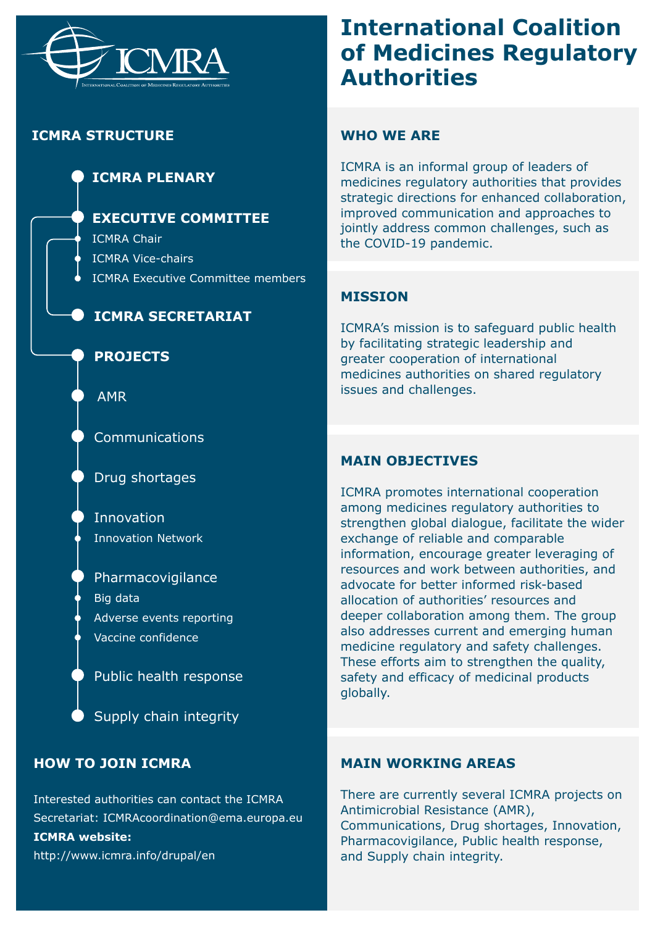

# **ICMRA STRUCTURE**

# **ICMRA PLENARY**

## **EXECUTIVE COMMITTEE**

ICMRA Chair ICMRA Vice-chairs ICMRA Executive Committee members

## **ICMRA SECRETARIAT**

#### **PROJECTS**

AMR

Communications

Drug shortages

Innovation Innovation Network

Pharmacovigilance Big data Adverse events reporting Vaccine confidence

Public health response

Supply chain integrity

# **HOW TO JOIN ICMRA**

Interested authorities can contact the ICMRA Secretariat: ICMRAcoordination@ema.europa.eu **ICMRA website:**  http://www.icmra.info/drupal/en

# **International Coalition of Medicines Regulatory Authorities**

#### **WHO WE ARE**

ICMRA is an informal group of leaders of medicines regulatory authorities that provides strategic directions for enhanced collaboration, improved communication and approaches to jointly address common challenges, such as the COVID-19 pandemic.

#### **MISSION**

ICMRA's mission is to safeguard public health by facilitating strategic leadership and greater cooperation of international medicines authorities on shared regulatory issues and challenges.

#### **MAIN OBJECTIVES**

ICMRA promotes international cooperation among medicines regulatory authorities to strengthen global dialogue, facilitate the wider exchange of reliable and comparable information, encourage greater leveraging of resources and work between authorities, and advocate for better informed risk-based allocation of authorities' resources and deeper collaboration among them. The group also addresses current and emerging human medicine regulatory and safety challenges. These efforts aim to strengthen the quality, safety and efficacy of medicinal products globally.

#### **MAIN WORKING AREAS**

There are currently several ICMRA projects on Antimicrobial Resistance (AMR), Communications, Drug shortages, Innovation, Pharmacovigilance, Public health response, and Supply chain integrity.